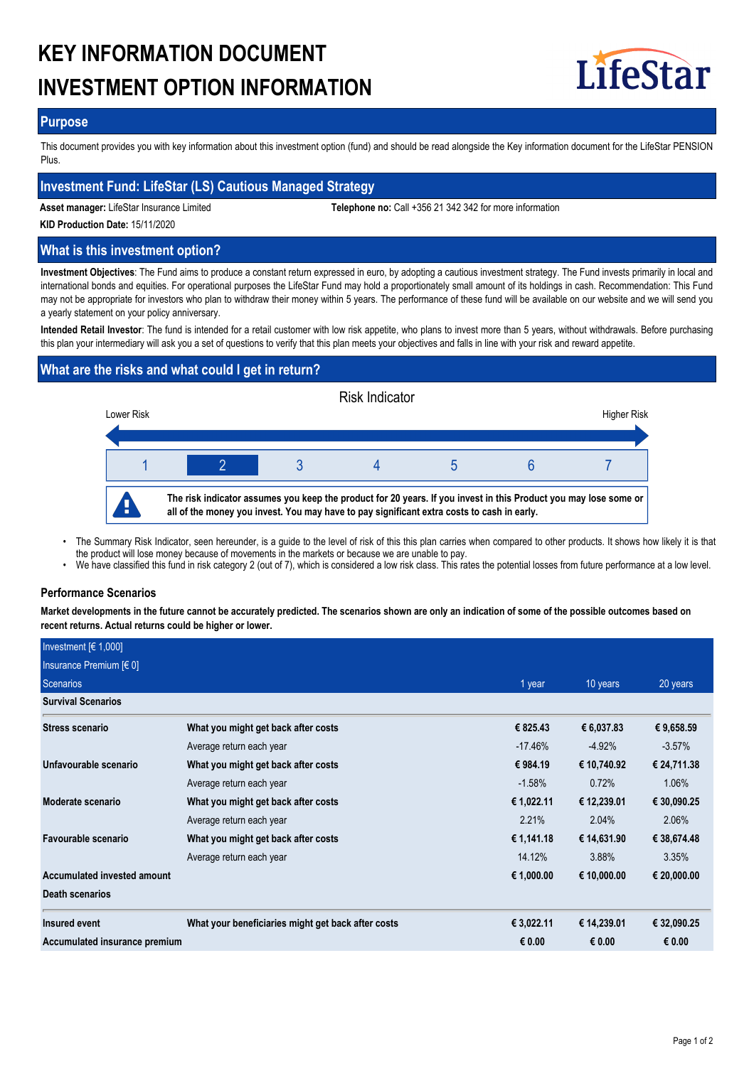# **KEY INFORMATION DOCUMENT INVESTMENT OPTION INFORMATION**



## **Purpose**

This document provides you with key information about this investment option (fund) and should be read alongside the Key information document for the LifeStar PENSION Plus.

# **Investment Fund: LifeStar (LS) Cautious Managed Strategy**

**Asset manager:** LifeStar Insurance Limited **Telephone no:** Call +356 21 342 342 for more information

**KID Production Date:** 15/11/2020

# **What is this investment option?**

**Investment Objectives**: The Fund aims to produce a constant return expressed in euro, by adopting a cautious investment strategy. The Fund invests primarily in local and international bonds and equities. For operational purposes the LifeStar Fund may hold a proportionately small amount of its holdings in cash. Recommendation: This Fund may not be appropriate for investors who plan to withdraw their money within 5 years. The performance of these fund will be available on our website and we will send you a yearly statement on your policy anniversary.

**Intended Retail Investor**: The fund is intended for a retail customer with low risk appetite, who plans to invest more than 5 years, without withdrawals. Before purchasing this plan your intermediary will ask you a set of questions to verify that this plan meets your objectives and falls in line with your risk and reward appetite.

# **What are the risks and what could I get in return?**



- The Summary Risk Indicator, seen hereunder, is a guide to the level of risk of this this plan carries when compared to other products. It shows how likely it is that the product will lose money because of movements in the markets or because we are unable to pay. •
- We have classified this fund in risk category 2 (out of 7), which is considered a low risk class. This rates the potential losses from future performance at a low level.

## **Performance Scenarios**

**Market developments in the future cannot be accurately predicted. The scenarios shown are only an indication of some of the possible outcomes based on recent returns. Actual returns could be higher or lower.**

| Investment [€ 1,000]          |                                                    |            |             |             |
|-------------------------------|----------------------------------------------------|------------|-------------|-------------|
| Insurance Premium $[6 0]$     |                                                    |            |             |             |
| Scenarios                     |                                                    | 1 year     | 10 years    | 20 years    |
| <b>Survival Scenarios</b>     |                                                    |            |             |             |
| <b>Stress scenario</b>        | What you might get back after costs                | € 825.43   | € 6,037.83  | € 9,658.59  |
|                               | Average return each year                           | $-17.46\%$ | $-4.92%$    | $-3.57\%$   |
| Unfavourable scenario         | What you might get back after costs                | € 984.19   | € 10,740.92 | € 24,711.38 |
|                               | Average return each year                           | $-1.58%$   | 0.72%       | 1.06%       |
| Moderate scenario             | What you might get back after costs                | € 1,022.11 | € 12,239.01 | € 30,090.25 |
|                               | Average return each year                           | 2.21%      | 2.04%       | 2.06%       |
| Favourable scenario           | What you might get back after costs                | € 1,141.18 | € 14,631.90 | € 38,674.48 |
|                               | Average return each year                           | 14.12%     | 3.88%       | 3.35%       |
| Accumulated invested amount   |                                                    | € 1,000.00 | € 10,000.00 | € 20,000.00 |
| <b>Death scenarios</b>        |                                                    |            |             |             |
| Insured event                 | What your beneficiaries might get back after costs | € 3,022.11 | € 14,239.01 | € 32,090.25 |
| Accumulated insurance premium |                                                    | € 0.00     | € 0.00      | € 0.00      |